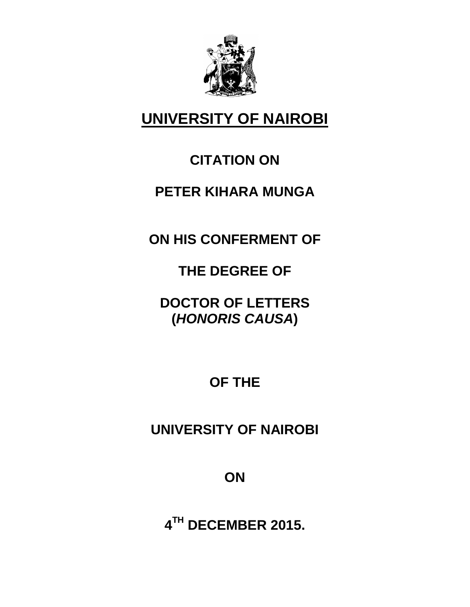

# **UNIVERSITY OF NAIROBI**

### **CITATION ON**

#### **PETER KIHARA MUNGA**

**ON HIS CONFERMENT OF**

**THE DEGREE OF**

**DOCTOR OF LETTERS (***HONORIS CAUSA***)**

**OF THE**

**UNIVERSITY OF NAIROBI**

**ON**

**4 TH DECEMBER 2015.**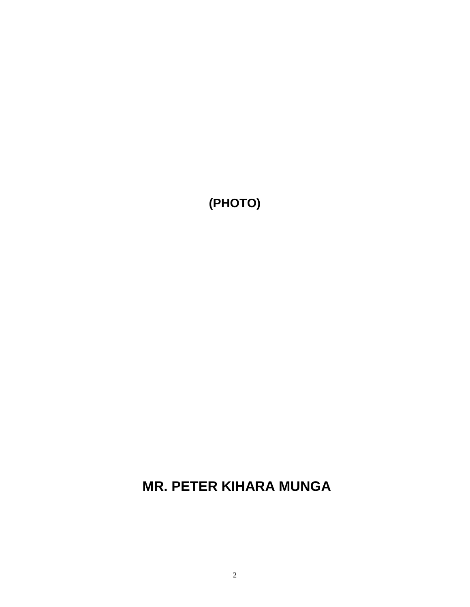#### **MR. PETER KIHARA MUNGA**

**(PHOTO)**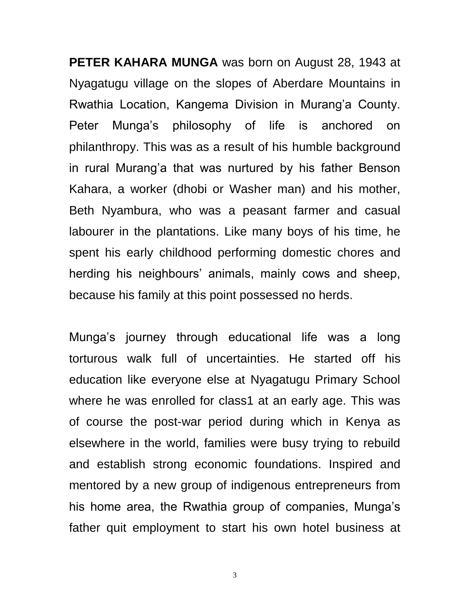**PETER KAHARA MUNGA** was born on August 28, 1943 at Nyagatugu village on the slopes of Aberdare Mountains in Rwathia Location, Kangema Division in Murang'a County. Peter Munga"s philosophy of life is anchored on philanthropy. This was as a result of his humble background in rural Murang'a that was nurtured by his father Benson Kahara, a worker (dhobi or Washer man) and his mother, Beth Nyambura, who was a peasant farmer and casual labourer in the plantations. Like many boys of his time, he spent his early childhood performing domestic chores and herding his neighbours' animals, mainly cows and sheep, because his family at this point possessed no herds.

Munga"s journey through educational life was a long torturous walk full of uncertainties. He started off his education like everyone else at Nyagatugu Primary School where he was enrolled for class1 at an early age. This was of course the post-war period during which in Kenya as elsewhere in the world, families were busy trying to rebuild and establish strong economic foundations. Inspired and mentored by a new group of indigenous entrepreneurs from his home area, the Rwathia group of companies, Munga's father quit employment to start his own hotel business at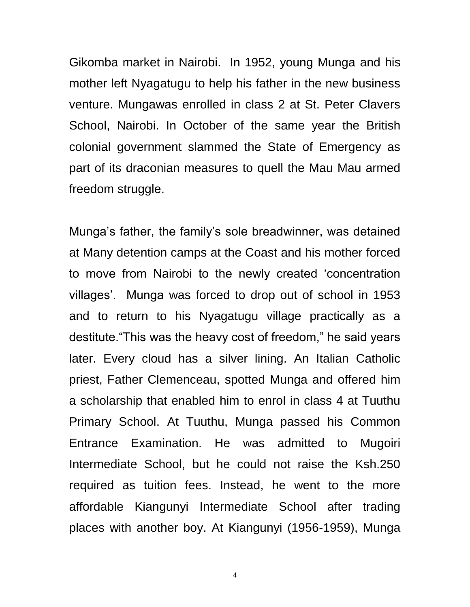Gikomba market in Nairobi. In 1952, young Munga and his mother left Nyagatugu to help his father in the new business venture. Mungawas enrolled in class 2 at St. Peter Clavers School, Nairobi. In October of the same year the British colonial government slammed the State of Emergency as part of its draconian measures to quell the Mau Mau armed freedom struggle.

Munga"s father, the family"s sole breadwinner, was detained at Many detention camps at the Coast and his mother forced to move from Nairobi to the newly created "concentration villages". Munga was forced to drop out of school in 1953 and to return to his Nyagatugu village practically as a destitute."This was the heavy cost of freedom," he said years later. Every cloud has a silver lining. An Italian Catholic priest, Father Clemenceau, spotted Munga and offered him a scholarship that enabled him to enrol in class 4 at Tuuthu Primary School. At Tuuthu, Munga passed his Common Entrance Examination. He was admitted to Mugoiri Intermediate School, but he could not raise the Ksh.250 required as tuition fees. Instead, he went to the more affordable Kiangunyi Intermediate School after trading places with another boy. At Kiangunyi (1956-1959), Munga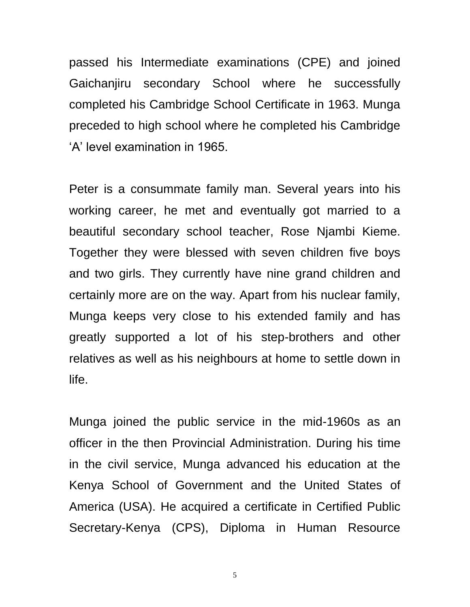passed his Intermediate examinations (CPE) and joined Gaichanjiru secondary School where he successfully completed his Cambridge School Certificate in 1963. Munga preceded to high school where he completed his Cambridge "A" level examination in 1965.

Peter is a consummate family man. Several years into his working career, he met and eventually got married to a beautiful secondary school teacher, Rose Njambi Kieme. Together they were blessed with seven children five boys and two girls. They currently have nine grand children and certainly more are on the way. Apart from his nuclear family, Munga keeps very close to his extended family and has greatly supported a lot of his step-brothers and other relatives as well as his neighbours at home to settle down in life.

Munga joined the public service in the mid-1960s as an officer in the then Provincial Administration. During his time in the civil service, Munga advanced his education at the Kenya School of Government and the United States of America (USA). He acquired a certificate in Certified Public Secretary-Kenya (CPS), Diploma in Human Resource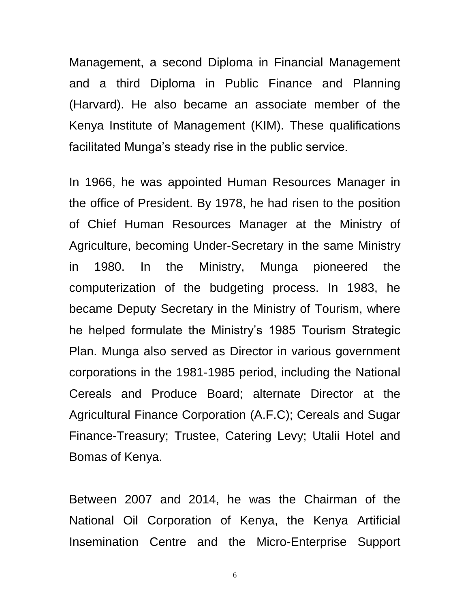Management, a second Diploma in Financial Management and a third Diploma in Public Finance and Planning (Harvard). He also became an associate member of the Kenya Institute of Management (KIM). These qualifications facilitated Munga's steady rise in the public service.

In 1966, he was appointed Human Resources Manager in the office of President. By 1978, he had risen to the position of Chief Human Resources Manager at the Ministry of Agriculture, becoming Under-Secretary in the same Ministry in 1980. In the Ministry, Munga pioneered the computerization of the budgeting process. In 1983, he became Deputy Secretary in the Ministry of Tourism, where he helped formulate the Ministry's 1985 Tourism Strategic Plan. Munga also served as Director in various government corporations in the 1981-1985 period, including the National Cereals and Produce Board; alternate Director at the Agricultural Finance Corporation (A.F.C); Cereals and Sugar Finance-Treasury; Trustee, Catering Levy; Utalii Hotel and Bomas of Kenya.

Between 2007 and 2014, he was the Chairman of the National Oil Corporation of Kenya, the Kenya Artificial Insemination Centre and the Micro-Enterprise Support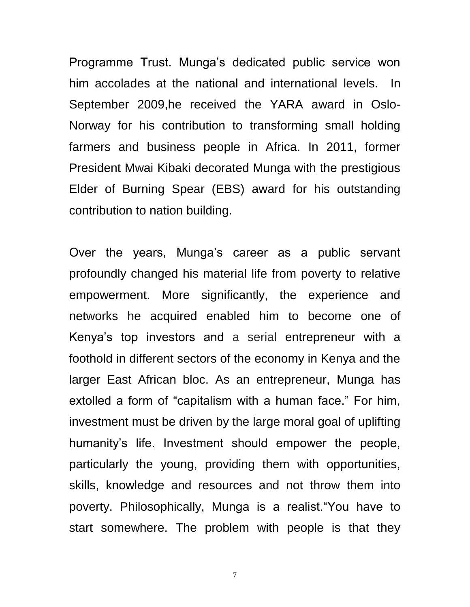Programme Trust. Munga"s dedicated public service won him accolades at the national and international levels. In September 2009,he received the YARA award in Oslo-Norway for his contribution to transforming small holding farmers and business people in Africa. In 2011, former President Mwai Kibaki decorated Munga with the prestigious Elder of Burning Spear (EBS) award for his outstanding contribution to nation building.

Over the years, Munga"s career as a public servant profoundly changed his material life from poverty to relative empowerment. More significantly, the experience and networks he acquired enabled him to become one of Kenya"s top investors and a serial entrepreneur with a foothold in different sectors of the economy in Kenya and the larger East African bloc. As an entrepreneur, Munga has extolled a form of "capitalism with a human face." For him, investment must be driven by the large moral goal of uplifting humanity"s life. Investment should empower the people, particularly the young, providing them with opportunities, skills, knowledge and resources and not throw them into poverty. Philosophically, Munga is a realist."You have to start somewhere. The problem with people is that they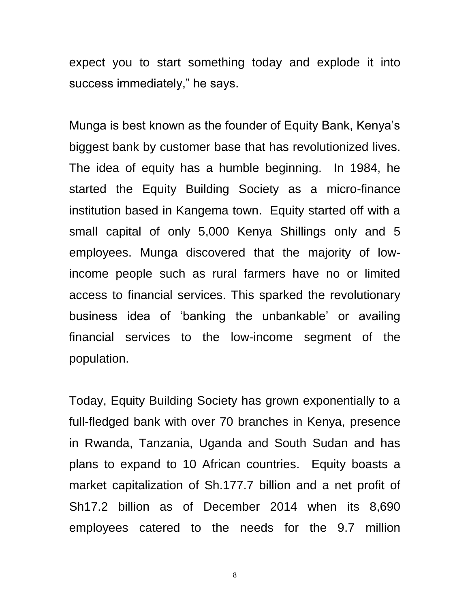expect you to start something today and explode it into success immediately," he says.

Munga is best known as the founder of Equity Bank, Kenya"s biggest bank by customer base that has revolutionized lives. The idea of equity has a humble beginning. In 1984, he started the Equity Building Society as a micro-finance institution based in Kangema town. Equity started off with a small capital of only 5,000 Kenya Shillings only and 5 employees. Munga discovered that the majority of lowincome people such as rural farmers have no or limited access to financial services. This sparked the revolutionary business idea of "banking the unbankable" or availing financial services to the low-income segment of the population.

Today, Equity Building Society has grown exponentially to a full-fledged bank with over 70 branches in Kenya, presence in Rwanda, Tanzania, Uganda and South Sudan and has plans to expand to 10 African countries. Equity boasts a market capitalization of Sh.177.7 billion and a net profit of Sh17.2 billion as of December 2014 when its 8,690 employees catered to the needs for the 9.7 million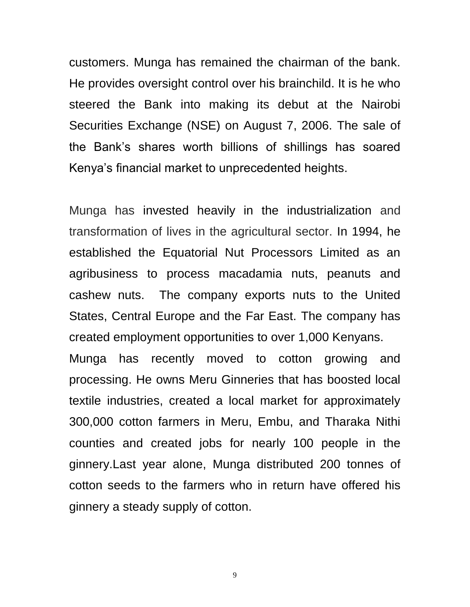customers. Munga has remained the chairman of the bank. He provides oversight control over his brainchild. It is he who steered the Bank into making its debut at the Nairobi Securities Exchange (NSE) on August 7, 2006. The sale of the Bank"s shares worth billions of shillings has soared Kenya"s financial market to unprecedented heights.

Munga has invested heavily in the industrialization and transformation of lives in the agricultural sector. In 1994, he established the Equatorial Nut Processors Limited as an agribusiness to process macadamia nuts, peanuts and cashew nuts. The company exports nuts to the United States, Central Europe and the Far East. The company has created employment opportunities to over 1,000 Kenyans.

Munga has recently moved to cotton growing and processing. He owns Meru Ginneries that has boosted local textile industries, created a local market for approximately 300,000 cotton farmers in Meru, Embu, and Tharaka Nithi counties and created jobs for nearly 100 people in the ginnery.Last year alone, Munga distributed 200 tonnes of cotton seeds to the farmers who in return have offered his ginnery a steady supply of cotton.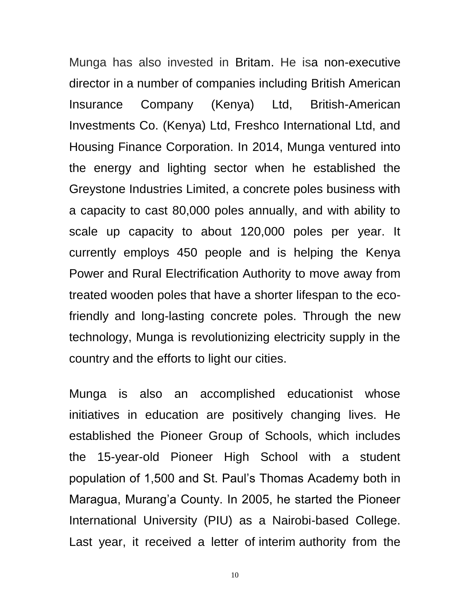Munga has also invested in [Britam.](http://www.businessdailyafrica.com/stocks/-/1322440/1394220/-/shks9i/-/index.html) He isa non-executive director in a number of companies including British American Insurance Company (Kenya) Ltd, British-American Investments Co. (Kenya) Ltd, Freshco International Ltd, and Housing Finance Corporation. In 2014, Munga ventured into the energy and lighting sector when he established the Greystone Industries Limited, a concrete poles business with a capacity to cast 80,000 poles annually, and with ability to scale up capacity to about 120,000 poles per year. It currently employs 450 people and is helping the Kenya Power and Rural Electrification Authority to move away from treated wooden poles that have a shorter lifespan to the ecofriendly and long-lasting concrete poles. Through the new technology, Munga is revolutionizing electricity supply in the country and the efforts to light our cities.

Munga is also an accomplished educationist whose initiatives in education are positively changing lives. He established the Pioneer Group of Schools, which includes the 15-year-old Pioneer High School with a student population of 1,500 and St. Paul"s Thomas Academy both in Maragua, Murang"a County. In 2005, he started the Pioneer International University (PIU) as a Nairobi-based College. Last year, it received a letter of interim authority from the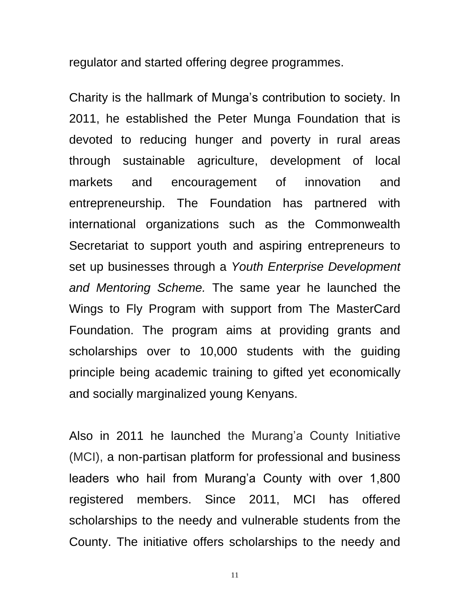regulator and started offering degree programmes.

Charity is the hallmark of Munga"s contribution to society. In 2011, he established the Peter Munga Foundation that is devoted to reducing hunger and poverty in rural areas through sustainable agriculture, development of local markets and encouragement of innovation and entrepreneurship. The Foundation has partnered with international organizations such as the Commonwealth Secretariat to support youth and aspiring entrepreneurs to set up businesses through a *Youth Enterprise Development and Mentoring Scheme.* The same year he launched the Wings to Fly Program with support from The MasterCard Foundation. The program aims at providing grants and scholarships over to 10,000 students with the guiding principle being academic training to gifted yet economically and socially marginalized young Kenyans.

Also in 2011 he launched the Murang'a County Initiative (MCI), a non-partisan platform for professional and business leaders who hail from Murang'a County with over 1,800 registered members. Since 2011, MCI has offered scholarships to the needy and vulnerable students from the County. The initiative offers scholarships to the needy and